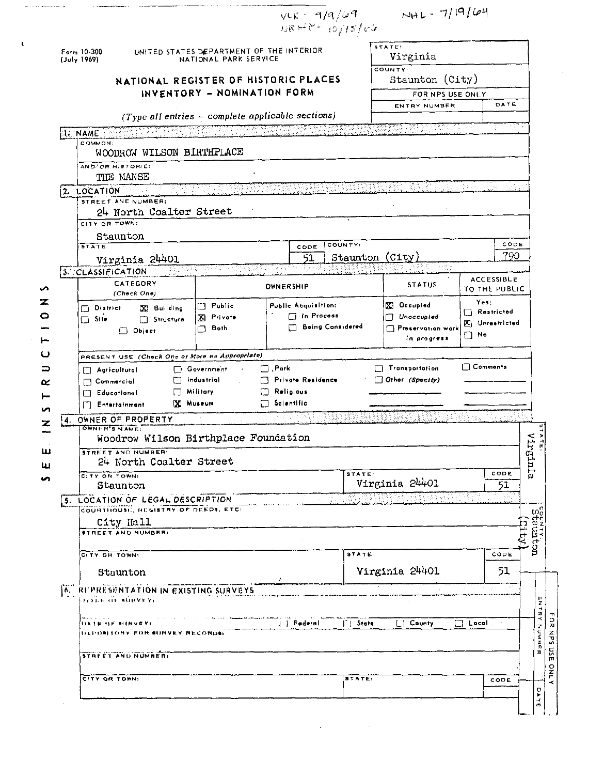| Form 10-300                              | UNITED STATES DEPARTMENT OF THE INTERIOR<br>NATIONAL PARK SERVICE       |                                                       |                                |                         |                             | STATE:<br>Virginia               |                     |                                             |
|------------------------------------------|-------------------------------------------------------------------------|-------------------------------------------------------|--------------------------------|-------------------------|-----------------------------|----------------------------------|---------------------|---------------------------------------------|
| (July 1969)                              |                                                                         |                                                       |                                |                         | COUNTY:                     |                                  |                     |                                             |
|                                          | NATIONAL REGISTER OF HISTORIC PLACES                                    |                                                       |                                |                         |                             | Staunton (City)                  |                     |                                             |
|                                          |                                                                         | INVENTORY - NOMINATION FORM                           |                                |                         |                             | FOR NPS USE ONLY                 |                     |                                             |
|                                          |                                                                         | $(Type$ all entries $-$ complete applicable sections) |                                |                         |                             | ENTRY NUMBER                     | DATE                |                                             |
| I. NAME                                  |                                                                         |                                                       |                                |                         |                             |                                  |                     |                                             |
| COMMON:                                  | WOODROW WILSON BIRTHPLACE                                               |                                                       |                                |                         |                             |                                  |                     |                                             |
|                                          | AND/OR HISTORICS                                                        |                                                       |                                |                         |                             |                                  |                     |                                             |
|                                          | THE MANSE                                                               |                                                       |                                |                         |                             |                                  |                     |                                             |
| 2. LOCATION                              |                                                                         |                                                       |                                |                         |                             |                                  |                     |                                             |
|                                          | STREET AND NUMBER:<br>24 North Coalter Street                           |                                                       |                                |                         |                             |                                  |                     |                                             |
| CITY OR TOWN:                            |                                                                         |                                                       |                                |                         |                             |                                  |                     |                                             |
|                                          | Staunton                                                                |                                                       |                                |                         |                             |                                  |                     |                                             |
| STATE                                    |                                                                         |                                                       | CODE                           | <b>COUNTY:</b>          |                             |                                  |                     | CODE<br>790                                 |
|                                          | Virginia 24401                                                          | 799 P.Y                                               | 51                             |                         |                             | Staunton (City)                  |                     |                                             |
| 3. CLASSIFICATION                        | CATEGORY                                                                |                                                       |                                |                         |                             |                                  | <b>ACCESSIBLE</b>   |                                             |
|                                          | (Check One)                                                             |                                                       | OWNERSHIP                      |                         |                             | <b>STATUS</b>                    | TO THE PUBLIC       |                                             |
| District                                 | X Building                                                              | $\Box$ Public                                         | <b>Public Acquisition:</b>     |                         |                             | <b>N</b> Occupied                | Yes:<br>Restricted  |                                             |
| $\Box$ Site                              | Structure                                                               | $\Box$ In Process<br>X Private                        |                                |                         |                             | Unaccupied<br>П                  | X Unrestricted      |                                             |
|                                          | $\Box$ Object                                                           | Both<br>n.                                            |                                | <b>Being Considered</b> |                             | Preservation work<br>in progress | $\Box$ No           |                                             |
|                                          |                                                                         |                                                       |                                |                         |                             |                                  |                     |                                             |
|                                          | PRESENT USE (Check One or More as Appropriate)                          | Government                                            | $\Box$ . Park                  |                         |                             | Transportation                   | □ Comments          |                                             |
| $\Box$ Agricultural<br>$\Box$ Commercial |                                                                         | $\Box$ industrial                                     | <sup>1</sup> Private Residence |                         |                             | $\Box$ Other (Spectly)           |                     |                                             |
|                                          |                                                                         | $\Box$ Military                                       | Religious<br>n.                |                         |                             |                                  |                     |                                             |
| Educational                              |                                                                         |                                                       |                                |                         |                             |                                  |                     |                                             |
|                                          | <b>Fintertalnment</b>                                                   | XI Museum                                             | Scientific<br>П                |                         |                             |                                  |                     |                                             |
| 4.                                       | OWNER OF PROPERTY                                                       |                                                       |                                |                         |                             |                                  |                     |                                             |
| <b>OWNER'S NAME:</b>                     |                                                                         |                                                       |                                |                         |                             |                                  |                     | $\frac{3}{4}$                               |
|                                          | Woodrow Wilson Birthplace Foundation<br><b>STREET AND NUMBER:</b>       |                                                       |                                |                         |                             |                                  |                     | 질소                                          |
|                                          | 24 North Coalter Street                                                 |                                                       |                                |                         |                             |                                  |                     |                                             |
| CITY OR TOWN:                            |                                                                         |                                                       |                                |                         | STATE:                      |                                  | CODE                | Virginia                                    |
|                                          | Staunton                                                                |                                                       |                                |                         |                             | Virginia 24401                   | 51                  |                                             |
|                                          | 5. LOCATION OF LEGAL DESCRIPTION<br>COURTHOUSE, REGISTRY OF DEEDS, ETC. |                                                       |                                |                         |                             |                                  |                     |                                             |
|                                          | City Hall                                                               |                                                       |                                |                         |                             |                                  |                     |                                             |
|                                          | <b>STREET AND NUMBER:</b>                                               |                                                       |                                |                         |                             |                                  |                     |                                             |
|                                          |                                                                         |                                                       |                                |                         | <b>STATE</b>                |                                  | CODE                | Hip                                         |
| CITY ON TOWN!                            |                                                                         |                                                       |                                |                         |                             |                                  |                     | couvividad<br>Staunton                      |
|                                          | Staunton                                                                |                                                       |                                |                         |                             | Virginia 24401                   | 51                  |                                             |
|                                          | REPRESENTATION IN EXISTING SURVEYS                                      |                                                       |                                |                         |                             |                                  |                     |                                             |
|                                          | FITTLE OF BUNVEYL                                                       |                                                       |                                |                         |                             |                                  |                     | $\overline{z}$                              |
|                                          | <b>ISA LE ISE ALINVEY</b>                                               |                                                       | J. J. Federal                  |                         | $\lceil \cdot \rceil$ State | [ <sup>"</sup> ] County          | $\Box$ Local $\Box$ | $\vec{x}$<br>F<br>K                         |
|                                          | DEPOSITORY FOR SURVEY RECORDE                                           |                                                       |                                |                         |                             |                                  |                     | $\frac{0}{x}$                               |
| j٨.                                      |                                                                         |                                                       |                                |                         |                             |                                  |                     | NUMBER<br>54N                               |
|                                          | STREET AND NUMBERI                                                      |                                                       |                                |                         |                             |                                  |                     | $\tilde{\mathbf{c}}$<br>m<br>$\frac{8}{10}$ |

 $\mathcal{L}(\mathbf{q},\mathbf{q})$  , and  $\mathcal{L}(\mathbf{q},\mathbf{q})$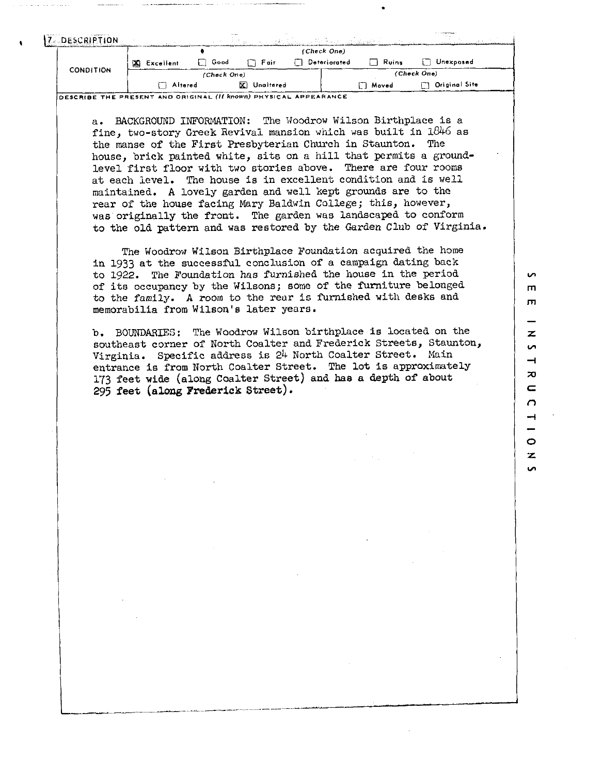| <b>DESCRIPTION</b> |                  | $- - - - -$ |             | アンティー 手足 おうしょう しょうぶんしん (の) 多味 ふうしょ (数 出来) そう |              |                           |  |
|--------------------|------------------|-------------|-------------|----------------------------------------------|--------------|---------------------------|--|
|                    |                  |             |             | (Check One)                                  |              |                           |  |
|                    | <b>Excellent</b> | $\Box$ Good | $\Box$ Fair | <b>Deteriorated</b>                          | $\Box$ Ruins | n<br>, Unexposed          |  |
| <b>CONDITION</b>   |                  | (Check One) |             |                                              |              | (Check One)               |  |
|                    | Altered          |             | X Unaitered |                                              | n Moved      | <b>Original Site</b><br>П |  |

**DESCRIBE THE PRESENT AND ORIGINAL (II known) PHYSICAL APPEARANCE** 

a. BACKGROUND INFORMATION: The Woodrow Wilson Birthplace is a fine, two-story Greek Revival mansion which was built in  $1846$  as the manse of the First Presbyterian Church in Staunton. The house, brick painted white, sits on a hill that permits a groundlevel first floor with two stories above. There are four rooms at each level. The house is in excellent condition and is well maintained. **A** lovely garden and well kept grounds are to the rear of the house facing Mary Baldwin College; this, however, was originally the front. The garden was landscaped to conform to the old pattern and was restored by the Garden Club of Virginia.

The Woodrow Wilson Birthplace Foundation acquired the home in 1933 at the successful conclusion of a campaign dating back to 1922. The Foundation has furnished the house in the period of its occupancy by the Wilsons; some of the furniture belonged to the family. **A** room to the rear is furnished with desks and memorabilia from Wilson's later years.

b. BOUNDARIES: The Woodrow Wilson birthplace is located on the southeast corner of North Coalter and Frederick Streets, Staunton, Virginia. Specific address is 24 North Coalter Street. Main entrance is from North Coalter Street. The lot is approximately 173 feet wide (along Coalter street) and **has** a depth of about *295* feet **(along** Frederick street).

i n m m  $\overline{z}$ **Un**  $\rightarrow$  $\mathbf{z}$ C  $\overline{C}$  $\rightarrow$ Ó z ີ**ທ**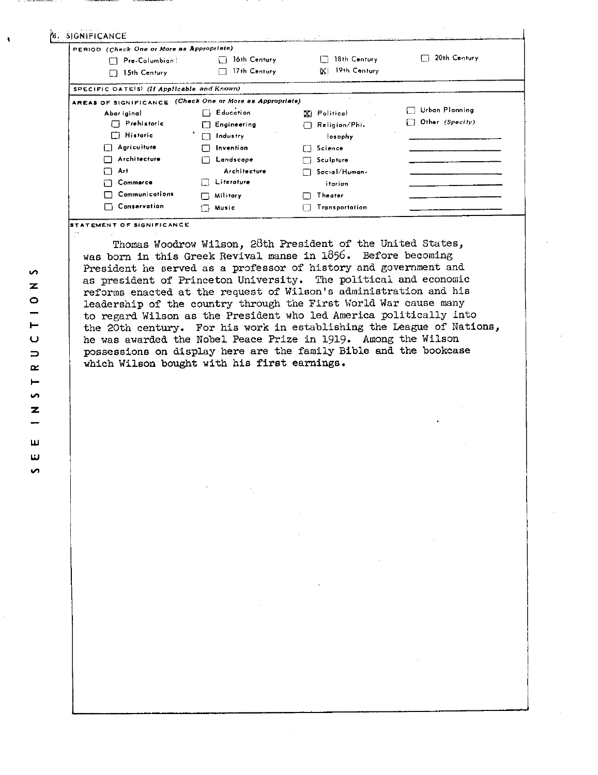| PERIOD (Check One or More as Appropriate)                |                    |                    |                 |  |
|----------------------------------------------------------|--------------------|--------------------|-----------------|--|
| Pre-Columbian!                                           | 16th Century       | 18th Century       | 20th Century    |  |
| 15th Century<br>П                                        | 17th Century       | 19th Century<br>W. |                 |  |
| SPECIFIC DATE(S) (If Applicable and Known)               |                    |                    |                 |  |
| AREAS OF SIGNIFICANCE (Check One or More as Appropriate) |                    |                    |                 |  |
| Abor iginal                                              | <b>Education</b>   | <b>X</b> Political | Urban Planning  |  |
| $\Box$ Prehistoric                                       | $\Box$ Engineering | Religion/Phi-      | Other (Specity) |  |
| $\Box$ Historic                                          | $\Box$ Industry    | losophy            |                 |  |
| <b>Agriculture</b><br>iΙ                                 | Invention          | $\Box$ Science     |                 |  |
| Architecture                                             | Landscape          | Sculpture          |                 |  |
| Art                                                      | Architecture       | Social/Human+      |                 |  |
| Commerce                                                 | Literature         | itarion            |                 |  |
| Communications                                           | Military           | Theater            |                 |  |
| <b>Conservation</b>                                      | Music<br>l I       | Transportation     |                 |  |

STATEMENT OF SIGNIFICANCE

Thomas Woodrow Wilson, 28th President of the United States, was born in this Greek Revival manse in 1856. Before becoming President he served as a professor of history and government and as president of Princeton University. The political and economic reforms enacted at the request of Wilson's administration and his leadership of the country through the First World War cause many to regard Wilson as the President who led America politically into the 20th century. For his work in establishing the League of Nations, he was awarded the Nobel Peace Prize in 1919. Among the Wilson possessions on display here are the family Bible and the bookcase which Wilson bought with his first earnings.

S  $\overline{\mathbf{z}}$  $\circ$ - $\vdash$  $\overline{C}$  $\overline{\phantom{m}}$  $\propto$  $\blacksquare$ S  $\overline{z}$ ш  $\overline{\mathbf{u}}$ **S**